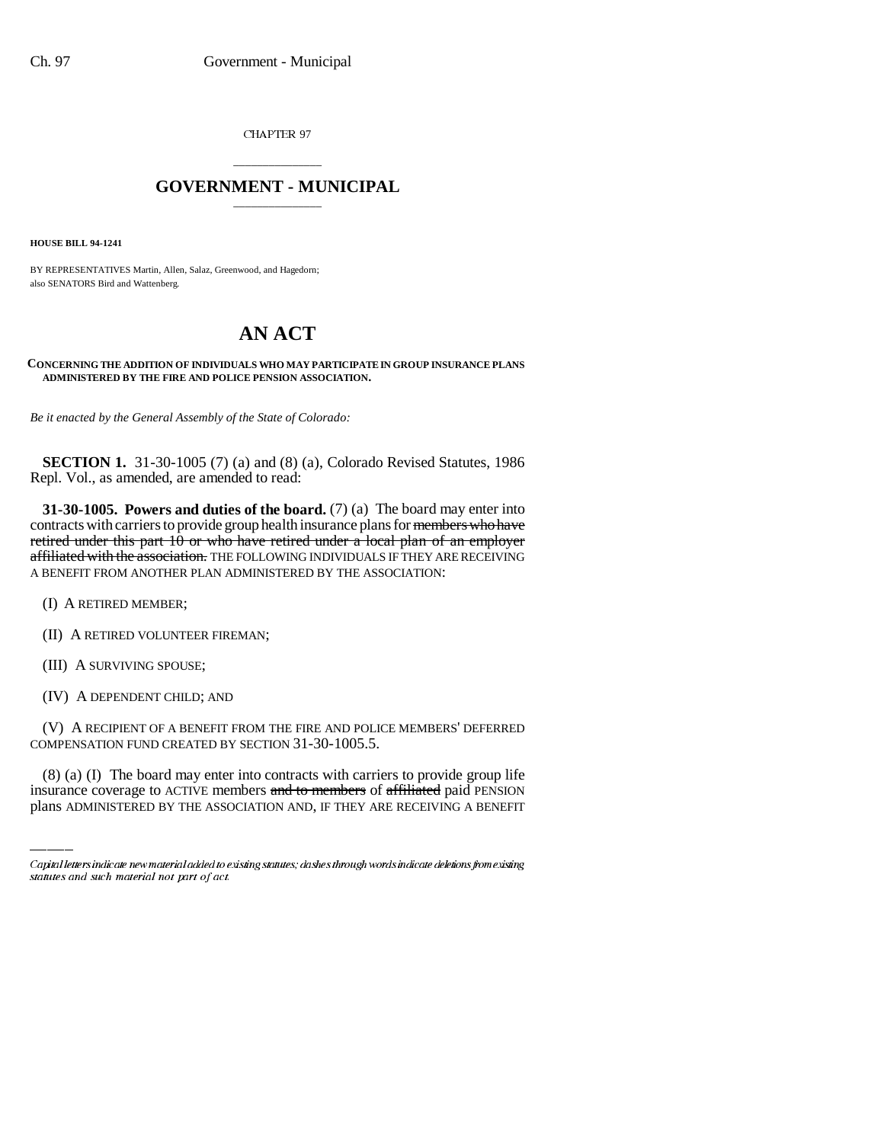CHAPTER 97

## \_\_\_\_\_\_\_\_\_\_\_\_\_\_\_ **GOVERNMENT - MUNICIPAL** \_\_\_\_\_\_\_\_\_\_\_\_\_\_\_

**HOUSE BILL 94-1241**

BY REPRESENTATIVES Martin, Allen, Salaz, Greenwood, and Hagedorn; also SENATORS Bird and Wattenberg.

## **AN ACT**

## **CONCERNING THE ADDITION OF INDIVIDUALS WHO MAY PARTICIPATE IN GROUP INSURANCE PLANS ADMINISTERED BY THE FIRE AND POLICE PENSION ASSOCIATION.**

*Be it enacted by the General Assembly of the State of Colorado:*

**SECTION 1.** 31-30-1005 (7) (a) and (8) (a), Colorado Revised Statutes, 1986 Repl. Vol., as amended, are amended to read:

**31-30-1005. Powers and duties of the board.** (7) (a) The board may enter into contracts with carriers to provide group health insurance plans for members who have retired under this part  $10$  or who have retired under a local plan of an employer affiliated with the association. THE FOLLOWING INDIVIDUALS IF THEY ARE RECEIVING A BENEFIT FROM ANOTHER PLAN ADMINISTERED BY THE ASSOCIATION:

(I) A RETIRED MEMBER;

(II) A RETIRED VOLUNTEER FIREMAN;

(III) A SURVIVING SPOUSE;

(IV) A DEPENDENT CHILD; AND

COMPENSATION FUND CREATED BY SECTION 31-30-1005.5. (V) A RECIPIENT OF A BENEFIT FROM THE FIRE AND POLICE MEMBERS' DEFERRED

(8) (a) (I) The board may enter into contracts with carriers to provide group life insurance coverage to ACTIVE members and to members of affiliated paid PENSION plans ADMINISTERED BY THE ASSOCIATION AND, IF THEY ARE RECEIVING A BENEFIT

Capital letters indicate new material added to existing statutes; dashes through words indicate deletions from existing statutes and such material not part of act.